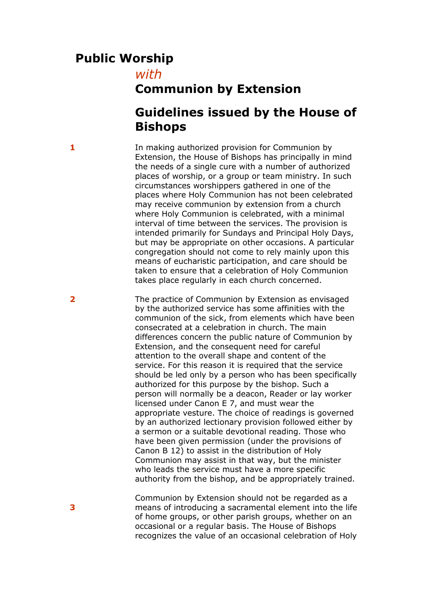## **Public Worship**

*with*

## **Communion by Extension**

## **Guidelines issued by the House of Bishops**

**1** In making authorized provision for Communion by Extension, the House of Bishops has principally in mind the needs of a single cure with a number of authorized places of worship, or a group or team ministry. In such circumstances worshippers gathered in one of the places where Holy Communion has not been celebrated may receive communion by extension from a church where Holy Communion is celebrated, with a minimal interval of time between the services. The provision is intended primarily for Sundays and Principal Holy Days, but may be appropriate on other occasions. A particular congregation should not come to rely mainly upon this means of eucharistic participation, and care should be taken to ensure that a celebration of Holy Communion takes place regularly in each church concerned.

**2** The practice of Communion by Extension as envisaged by the authorized service has some affinities with the communion of the sick, from elements which have been consecrated at a celebration in church. The main differences concern the public nature of Communion by Extension, and the consequent need for careful attention to the overall shape and content of the service. For this reason it is required that the service should be led only by a person who has been specifically authorized for this purpose by the bishop. Such a person will normally be a deacon, Reader or lay worker licensed under Canon E 7, and must wear the appropriate vesture. The choice of readings is governed by an authorized lectionary provision followed either by a sermon or a suitable devotional reading. Those who have been given permission (under the provisions of Canon B 12) to assist in the distribution of Holy Communion may assist in that way, but the minister who leads the service must have a more specific authority from the bishop, and be appropriately trained.

> Communion by Extension should not be regarded as a means of introducing a sacramental element into the life of home groups, or other parish groups, whether on an occasional or a regular basis. The House of Bishops recognizes the value of an occasional celebration of Holy

**3**